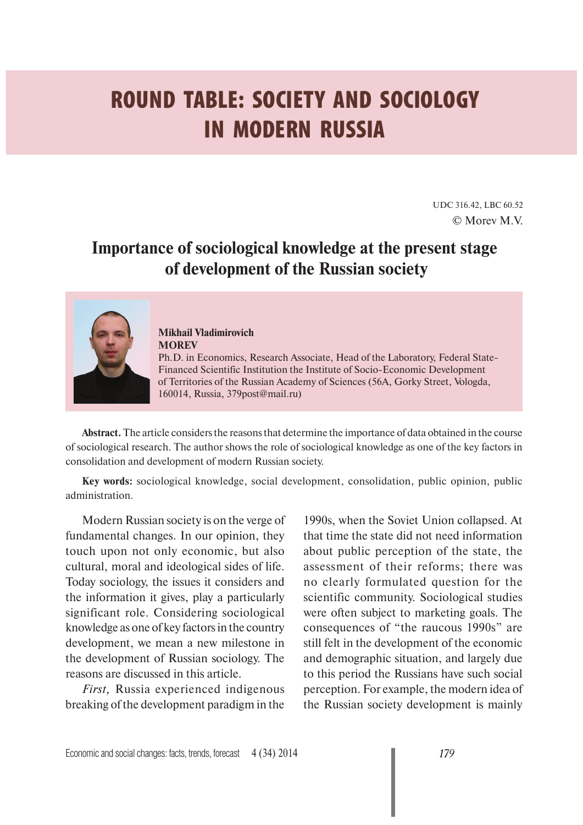## **ROUND TABLE: SOCIETY AND SOCIOLOGY IN MODERN RUSSIA**

UDC 316.42, LBC 60.52 © Morev M.V.

## **Importance of sociological knowledge at the present stage of development of the Russian society**



**Mikhail Vladimirovich MOREV**

Ph.D. in Economics, Research Associate, Head of the Laboratory, Federal State-Financed Scientific Institution the Institute of Socio-Economic Development of Territories of the Russian Academy of Sciences (56A, Gorky Street, Vologda, 160014, Russia, 379post@mail.ru)

**Abstract.** The article considers the reasons that determine the importance of data obtained in the course of sociological research. The author shows the role of sociological knowledge as one of the key factors in consolidation and development of modern Russian society.

**Key words:** sociological knowledge, social development, consolidation, public opinion, public administration.

Modern Russian society is on the verge of fundamental changes. In our opinion, they touch upon not only economic, but also cultural, moral and ideological sides of life. Today sociology, the issues it considers and the information it gives, play a particularly significant role. Considering sociological knowledge as one of key factors in the country development, we mean a new milestone in the development of Russian sociology. The reasons are discussed in this article.

*First,* Russia experienced indigenous breaking of the development paradigm in the

1990s, when the Soviet Union collapsed. At that time the state did not need information about public perception of the state, the assessment of their reforms; there was no clearly formulated question for the scientific community. Sociological studies were often subject to marketing goals. The consequences of "the raucous 1990s" are still felt in the development of the economic and demographic situation, and largely due to this period the Russians have such social perception. For example, the modern idea of the Russian society development is mainly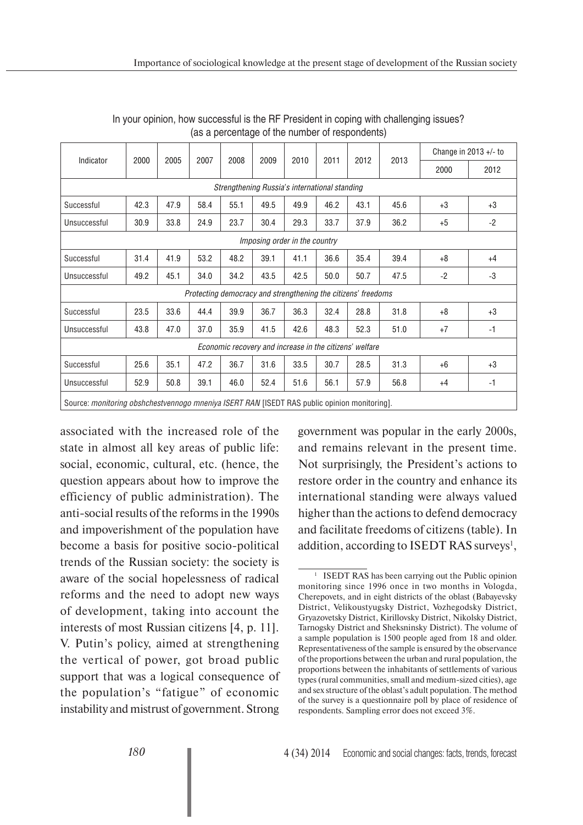| Indicator                                                                                           | 2000 | 2005 | 2007 | 2008 | 2009 | 2010 | 2011 | 2012 | 2013 | Change in 2013 $+/-$ to |      |
|-----------------------------------------------------------------------------------------------------|------|------|------|------|------|------|------|------|------|-------------------------|------|
|                                                                                                     |      |      |      |      |      |      |      |      |      | 2000                    | 2012 |
| Strengthening Russia's international standing                                                       |      |      |      |      |      |      |      |      |      |                         |      |
| Successful                                                                                          | 42.3 | 47.9 | 58.4 | 55.1 | 49.5 | 49.9 | 46.2 | 43.1 | 45.6 | $+3$                    | $+3$ |
| Unsuccessful                                                                                        | 30.9 | 33.8 | 24.9 | 23.7 | 30.4 | 29.3 | 33.7 | 37.9 | 36.2 | $+5$                    | $-2$ |
| Imposing order in the country                                                                       |      |      |      |      |      |      |      |      |      |                         |      |
| Successful                                                                                          | 31.4 | 41.9 | 53.2 | 48.2 | 39.1 | 41.1 | 36.6 | 35.4 | 39.4 | $+8$                    | $+4$ |
| Unsuccessful                                                                                        | 49.2 | 45.1 | 34.0 | 34.2 | 43.5 | 42.5 | 50.0 | 50.7 | 47.5 | $-2$                    | $-3$ |
| Protecting democracy and strengthening the citizens' freedoms                                       |      |      |      |      |      |      |      |      |      |                         |      |
| Successful                                                                                          | 23.5 | 33.6 | 44.4 | 39.9 | 36.7 | 36.3 | 32.4 | 28.8 | 31.8 | $+8$                    | $+3$ |
| Unsuccessful                                                                                        | 43.8 | 47.0 | 37.0 | 35.9 | 41.5 | 42.6 | 48.3 | 52.3 | 51.0 | $+7$                    | $-1$ |
| Economic recovery and increase in the citizens' welfare                                             |      |      |      |      |      |      |      |      |      |                         |      |
| Successful                                                                                          | 25.6 | 35.1 | 47.2 | 36.7 | 31.6 | 33.5 | 30.7 | 28.5 | 31.3 | $+6$                    | $+3$ |
| Unsuccessful                                                                                        | 52.9 | 50.8 | 39.1 | 46.0 | 52.4 | 51.6 | 56.1 | 57.9 | 56.8 | $+4$                    | -1   |
| Source: <i>monitoring obshchestvennogo mneniya ISERT RAN</i> [ISEDT RAS public opinion monitoring]. |      |      |      |      |      |      |      |      |      |                         |      |

In your opinion, how successful is the RF President in coping with challenging issues? (as a percentage of the number of respondents)

associated with the increased role of the state in almost all key areas of public life: social, economic, cultural, etc. (hence, the question appears about how to improve the efficiency of public administration). The anti-social results of the reforms in the 1990s and impoverishment of the population have become a basis for positive socio-political trends of the Russian society: the society is aware of the social hopelessness of radical reforms and the need to adopt new ways of development, taking into account the interests of most Russian citizens [4, p. 11]. V. Putin's policy, aimed at strengthening the vertical of power, got broad public support that was a logical consequence of the population's "fatigue" of economic instability and mistrust of government. Strong

government was popular in the early 2000s, and remains relevant in the present time. Not surprisingly, the President's actions to restore order in the country and enhance its international standing were always valued higher than the actions to defend democracy and facilitate freedoms of citizens (table). In addition, according to ISEDT RAS surveys<sup>1</sup>,

<sup>&</sup>lt;sup>1</sup> ISEDT RAS has been carrying out the Public opinion monitoring since 1996 once in two months in Vologda, Cherepovets, and in eight districts of the oblast (Babayevsky District, Velikoustyugsky District, Vozhegodsky District, Gryazovetsky District, Kirillovsky District, Nikolsky District, Tarnogsky District and Sheksninsky District). The volume of a sample population is 1500 people aged from 18 and older. Representativeness of the sample is ensured by the observance of the proportions between the urban and rural population, the proportions between the inhabitants of settlements of various types (rural communities, small and medium-sized cities), age and sex structure of the oblast's adult population. The method of the survey is a questionnaire poll by place of residence of respondents. Sampling error does not exceed 3%.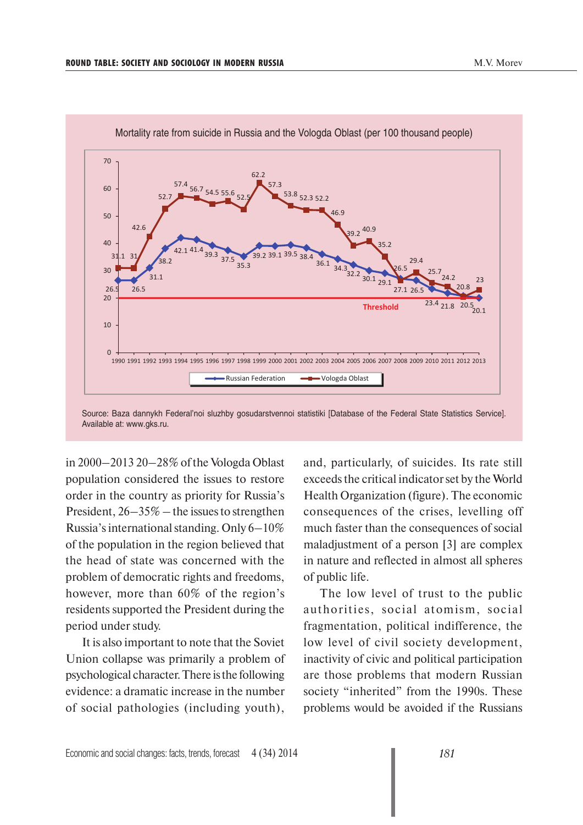

Source: Baza dannykh Federal'noi sluzhby gosudarstvennoi statistiki [Database of the Federal State Statistics Service]. Available at: www.gks.ru.

in 2000–2013 20–28% of the Vologda Oblast population considered the issues to restore order in the country as priority for Russia's President, 26–35% – the issues to strengthen Russia's international standing. Only 6–10% of the population in the region believed that the head of state was concerned with the problem of democratic rights and freedoms, however, more than 60% of the region's residents supported the President during the period under study.

It is also important to note that the Soviet Union collapse was primarily a problem of psychological character. There is the following evidence: a dramatic increase in the number of social pathologies (including youth),

and, particularly, of suicides. Its rate still exceeds the critical indicator set by the World Health Organization (figure). The economic consequences of the crises, levelling off much faster than the consequences of social maladjustment of a person [3] are complex in nature and reflected in almost all spheres of public life.

The low level of trust to the public authorities, social atomism, social fragmentation, political indifference, the low level of civil society development, inactivity of civic and political participation are those problems that modern Russian society "inherited" from the 1990s. These problems would be avoided if the Russians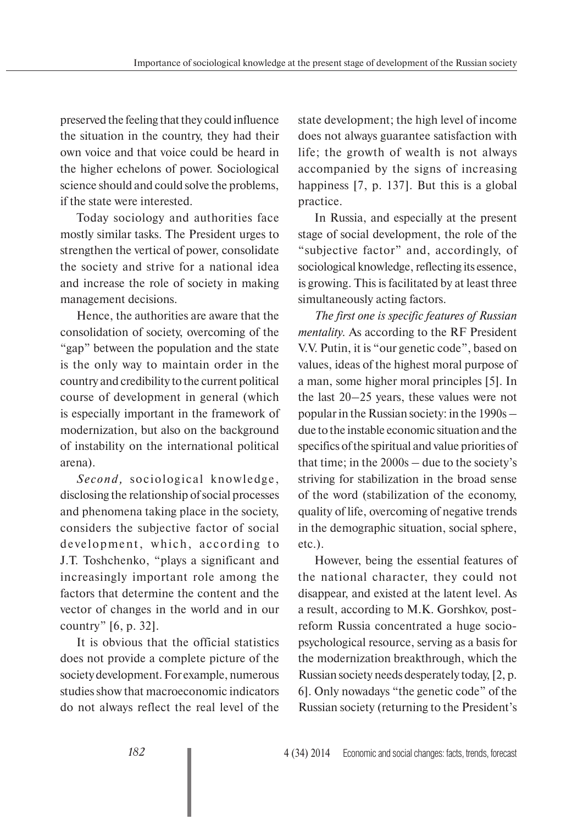preserved the feeling that they could influence the situation in the country, they had their own voice and that voice could be heard in the higher echelons of power. Sociological science should and could solve the problems, if the state were interested.

Today sociology and authorities face mostly similar tasks. The President urges to strengthen the vertical of power, consolidate the society and strive for a national idea and increase the role of society in making management decisions.

Hence, the authorities are aware that the consolidation of society, overcoming of the "gap" between the population and the state is the only way to maintain order in the country and credibility to the current political course of development in general (which is especially important in the framework of modernization, but also on the background of instability on the international political arena).

*Second,* sociological knowledge, disclosing the relationship of social processes and phenomena taking place in the society, considers the subjective factor of social development, which, according to J.T. Toshchenko, "plays a significant and increasingly important role among the factors that determine the content and the vector of changes in the world and in our country" [6, p. 32].

It is obvious that the official statistics does not provide a complete picture of the society development. For example, numerous studies show that macroeconomic indicators do not always reflect the real level of the state development; the high level of income does not always guarantee satisfaction with life; the growth of wealth is not always accompanied by the signs of increasing happiness [7, p. 137]. But this is a global practice.

In Russia, and especially at the present stage of social development, the role of the "subjective factor" and, accordingly, of sociological knowledge, reflecting its essence, is growing. This is facilitated by at least three simultaneously acting factors.

*The first one is specific features of Russian mentality.* As according to the RF President V.V. Putin, it is "our genetic code", based on values, ideas of the highest moral purpose of a man, some higher moral principles [5]. In the last 20–25 years, these values were not popular in the Russian society: in the 1990s – due to the instable economic situation and the specifics of the spiritual and value priorities of that time; in the 2000s – due to the society's striving for stabilization in the broad sense of the word (stabilization of the economy, quality of life, overcoming of negative trends in the demographic situation, social sphere, etc.).

However, being the essential features of the national character, they could not disappear, and existed at the latent level. As a result, according to M.K. Gorshkov, postreform Russia concentrated a huge sociopsychological resource, serving as a basis for the modernization breakthrough, which the Russian society needs desperately today, [2, p. 6]. Only nowadays "the genetic code" of the Russian society (returning to the President's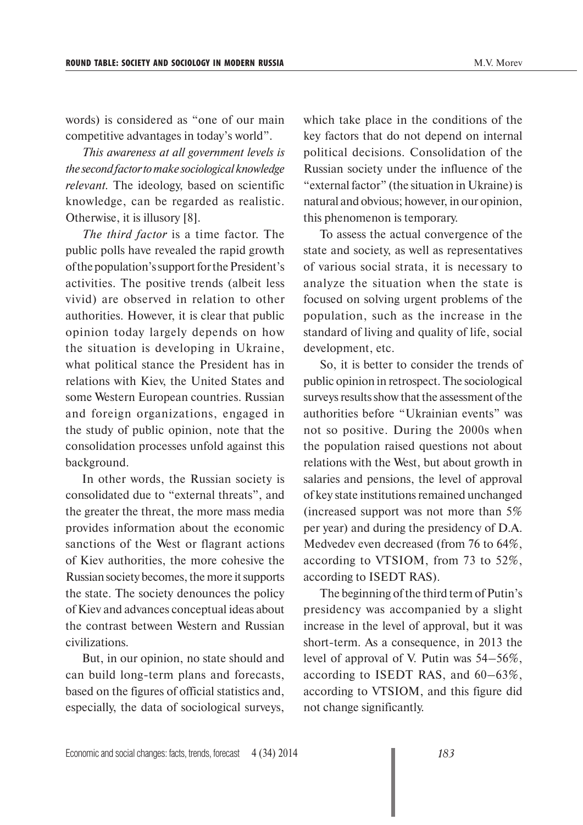words) is considered as "one of our main competitive advantages in today's world".

*This awareness at all government levels is the second factor to make sociological knowledge relevant.* The ideology, based on scientific knowledge, can be regarded as realistic. Otherwise, it is illusory [8].

*The third factor* is a time factor. The public polls have revealed the rapid growth of the population's support for the President's activities. The positive trends (albeit less vivid) are observed in relation to other authorities. However, it is clear that public opinion today largely depends on how the situation is developing in Ukraine, what political stance the President has in relations with Kiev, the United States and some Western European countries. Russian and foreign organizations, engaged in the study of public opinion, note that the consolidation processes unfold against this background.

In other words, the Russian society is consolidated due to "external threats", and the greater the threat, the more mass media provides information about the economic sanctions of the West or flagrant actions of Kiev authorities, the more cohesive the Russian society becomes, the more it supports the state. The society denounces the policy of Kiev and advances conceptual ideas about the contrast between Western and Russian civilizations.

But, in our opinion, no state should and can build long-term plans and forecasts, based on the figures of official statistics and, especially, the data of sociological surveys,

which take place in the conditions of the key factors that do not depend on internal political decisions. Consolidation of the Russian society under the influence of the "external factor" (the situation in Ukraine) is natural and obvious; however, in our opinion, this phenomenon is temporary.

To assess the actual convergence of the state and society, as well as representatives of various social strata, it is necessary to analyze the situation when the state is focused on solving urgent problems of the population, such as the increase in the standard of living and quality of life, social development, etc.

So, it is better to consider the trends of public opinion in retrospect. The sociological surveys results show that the assessment of the authorities before "Ukrainian events" was not so positive. During the 2000s when the population raised questions not about relations with the West, but about growth in salaries and pensions, the level of approval of key state institutions remained unchanged (increased support was not more than 5% per year) and during the presidency of D.A. Medvedev even decreased (from 76 to 64%, according to VTSIOM, from 73 to 52%, according to ISEDT RAS).

The beginning of the third term of Putin's presidency was accompanied by a slight increase in the level of approval, but it was short-term. As a consequence, in 2013 the level of approval of V. Putin was 54–56%, according to ISEDT RAS, and 60–63%, according to VTSIOM, and this figure did not change significantly.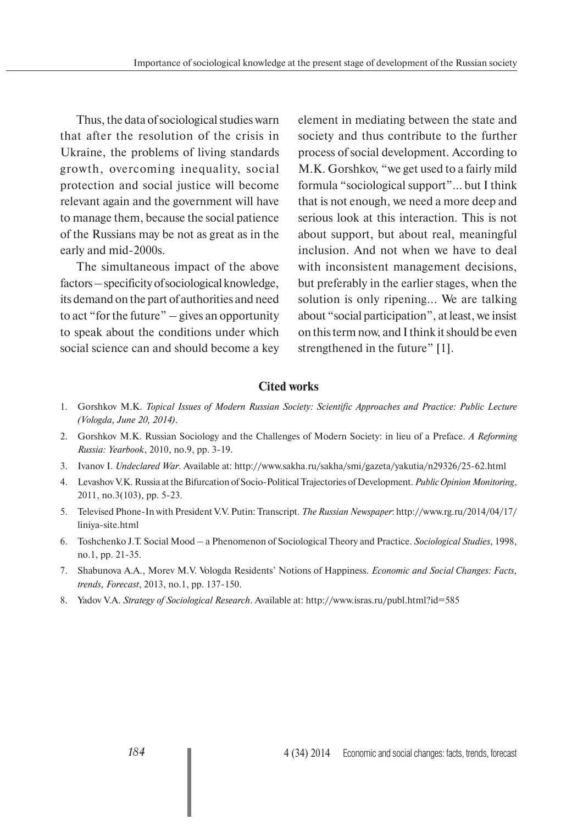Thus, the data of sociological studies warn that after the resolution of the crisis in Ukraine, the problems of living standards growth, overcoming inequality, social protection and social justice will become relevant again and the government will have to manage them, because the social patience of the Russians may be not as great as in the early and mid-2000s.

The simultaneous impact of the above factors – specificity of sociological knowledge, its demand on the part of authorities and need to act "for the future" – gives an opportunity to speak about the conditions under which social science can and should become a key element in mediating between the state and society and thus contribute to the further process of social development. According to M.K. Gorshkov, "we get used to a fairly mild formula "sociological support"... but I think that is not enough, we need a more deep and serious look at this interaction. This is not about support, but about real, meaningful inclusion. And not when we have to deal with inconsistent management decisions, but preferably in the earlier stages, when the solution is only ripening... We are talking about "social participation", at least, we insist on this term now, and I think it should be even strengthened in the future" [1].

## **Cited works**

- 1. Gorshkov M.K. *Topical Issues of Modern Russian Society: Scientific Approaches and Practice: Public Lecture (Vologda, June 20, 2014)*.
- 2. Gorshkov M.K. Russian Sociology and the Challenges of Modern Society: in lieu of a Preface. *A Reforming Russia: Yearbook*, 2010, no.9, pp. 3-19.
- 3. Ivanov I. *Undeclared War*. Available at: http://www.sakha.ru/sakha/smi/gazeta/yakutia/n29326/25-62.html
- 4. Levashov V.K. Russia at the Bifurcation of Socio-Political Trajectories of Development. *Public Opinion Monitoring*, 2011, no.3(103), pp. 5-23.
- 5. Televised Phone-In with President V.V. Putin: Transcript. *The Russian Newspaper*: http://www.rg.ru/2014/04/17/ liniya-site.html
- 6. Toshchenko J.T. Social Mood a Phenomenon of Sociological Theory and Practice. *Sociological Studies*, 1998, no.1, pp. 21-35.
- 7. Shabunova A.A., Morev M.V. Vologda Residents' Notions of Happiness. *Economic and Social Changes: Facts, trends, Forecast*, 2013, no.1, pp. 137-150.
- 8. Yadov V.A. *Strategy of Sociological Research*. Available at: http://www.isras.ru/publ.html?id=585